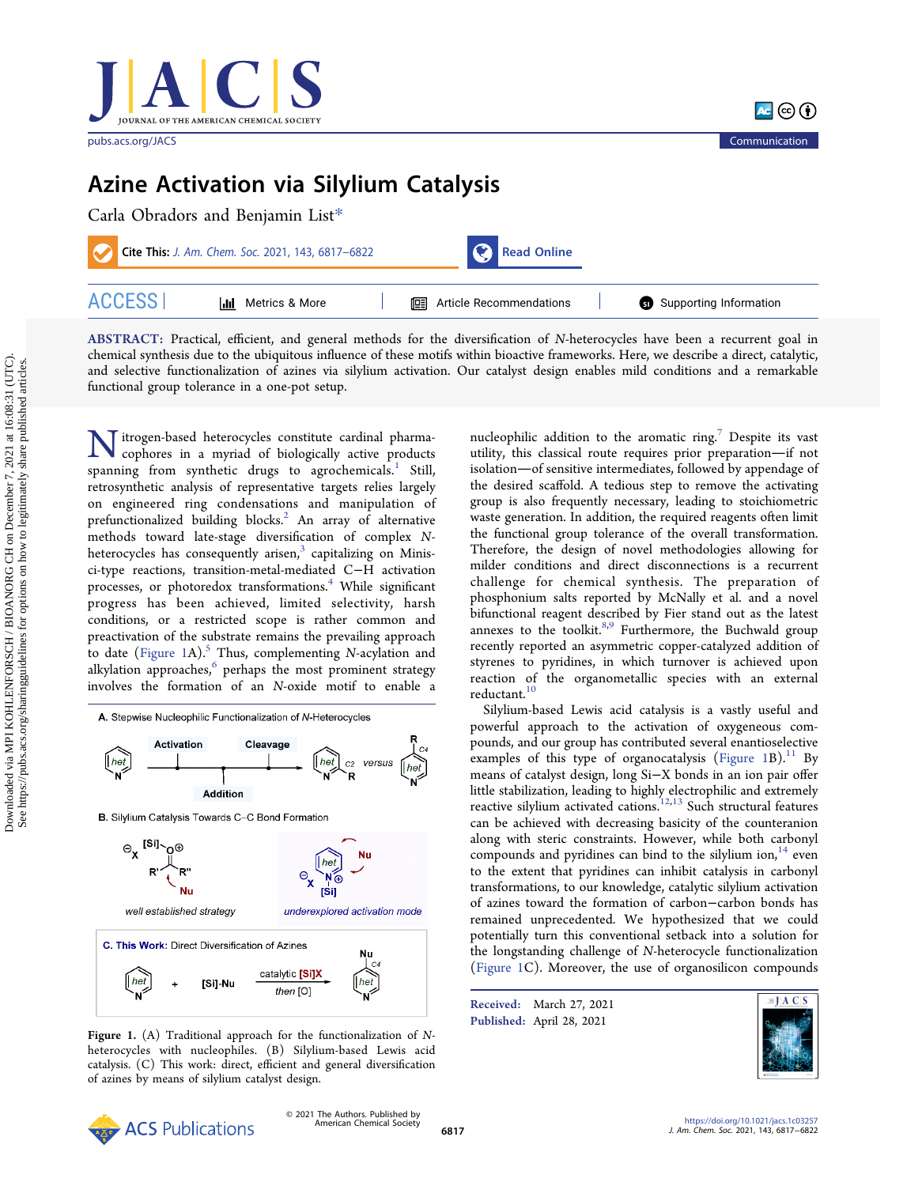

[pubs.acs.org/JACS](pubs.acs.org/JACS?ref=pdf) Communication



# Azine Activation via Silylium Catalysis

| Carla Obradors and Benjamin List* |                                                   |                                  |  |                        |  |
|-----------------------------------|---------------------------------------------------|----------------------------------|--|------------------------|--|
|                                   | Cite This: J. Am. Chem. Soc. 2021, 143, 6817-6822 | Read Online                      |  |                        |  |
| <b>ACCESS</b>                     | Metrics & More<br>ldd -                           | <b>E</b> Article Recommendations |  | Supporting Information |  |

ABSTRACT: Practical, efficient, and general methods for the diversification of N-heterocycles have been a recurrent goal in chemical synthesis due to the ubiquitous influence of these motifs within bioactive frameworks. Here, we describe a direct, catalytic, and selective functionalization of azines via silylium activation. Our catalyst design enables mild conditions and a remarkable functional group tolerance in a one-pot setup.

Nitrogen-based heterocycles constitute cardinal pharma-<br>conhores in a muriad of higher way cophores in a myriad of biologically active products spanning from synthetic drugs to agrochemicals.<sup>[1](#page-4-0)</sup> Still, retrosynthetic analysis of representative targets relies largely on engineered ring condensations and manipulation of prefunctionalized building blocks.<sup>[2](#page-4-0)</sup> An array of alternative methods toward late-stage diversification of complex Nheterocycles has consequently arisen, $3$  capitalizing on Minisci-type reactions, transition-metal-mediated C−H activation processes, or photoredox transformations.<sup>[4](#page-4-0)</sup> While significant progress has been achieved, limited selectivity, harsh conditions, or a restricted scope is rather common and preactivation of the substrate remains the prevailing approach to date (Figure 1A).<sup>[5](#page-4-0)</sup> Thus, complementing N-acylation and alkylation approaches, $6$  perhaps the most prominent strategy involves the formation of an N-oxide motif to enable a



Figure 1. (A) Traditional approach for the functionalization of Nheterocycles with nucleophiles. (B) Silylium-based Lewis acid catalysis. (C) This work: direct, efficient and general diversification of azines by means of silylium catalyst design.

nucleophilic addition to the aromatic ring.<sup>[7](#page-4-0)</sup> Despite its vast utility, this classical route requires prior preparation-if not isolation-of sensitive intermediates, followed by appendage of the desired scaffold. A tedious step to remove the activating group is also frequently necessary, leading to stoichiometric waste generation. In addition, the required reagents often limit the functional group tolerance of the overall transformation. Therefore, the design of novel methodologies allowing for milder conditions and direct disconnections is a recurrent challenge for chemical synthesis. The preparation of phosphonium salts reported by McNally et al. and a novel bifunctional reagent described by Fier stand out as the latest annexes to the toolkit.<sup>8,9</sup> Furthermore, the Buchwald group recently reported an asymmetric copper-catalyzed addition of styrenes to pyridines, in which turnover is achieved upon reaction of the organometallic species with an external reductant.<sup>[10](#page-4-0)</sup>

Silylium-based Lewis acid catalysis is a vastly useful and powerful approach to the activation of oxygeneous compounds, and our group has contributed several enantioselective examples of this type of organocatalysis (Figure  $1B$ ).<sup>[11](#page-4-0)</sup> By means of catalyst design, long Si−X bonds in an ion pair offer little stabilization, leading to highly electrophilic and extremely reactive silylium activated cations.<sup>[12](#page-4-0),[13](#page-4-0)</sup> Such structural features can be achieved with decreasing basicity of the counteranion along with steric constraints. However, while both carbonyl compounds and pyridines can bind to the silylium ion, $14$  even to the extent that pyridines can inhibit catalysis in carbonyl transformations, to our knowledge, catalytic silylium activation of azines toward the formation of carbon−carbon bonds has remained unprecedented. We hypothesized that we could potentially turn this conventional setback into a solution for the longstanding challenge of N-heterocycle functionalization (Figure 1C). Moreover, the use of organosilicon compounds

Received: March 27, 2021 Published: April 28, 2021



Downloaded via MPI KOHLENFORSCH / BIOANORG CH on December 7, 2021 at 16:08:31 (UTC).<br>See https://pubs.acs.org/sharingguidelines for options on how to legitimately share published articles. Downloaded via MPI KOHLENFORSCH / BIOANORG CH on December 7, 2021 at 16:08:31 (UTC). See https://pubs.acs.org/sharingguidelines for options on how to legitimately share published articles.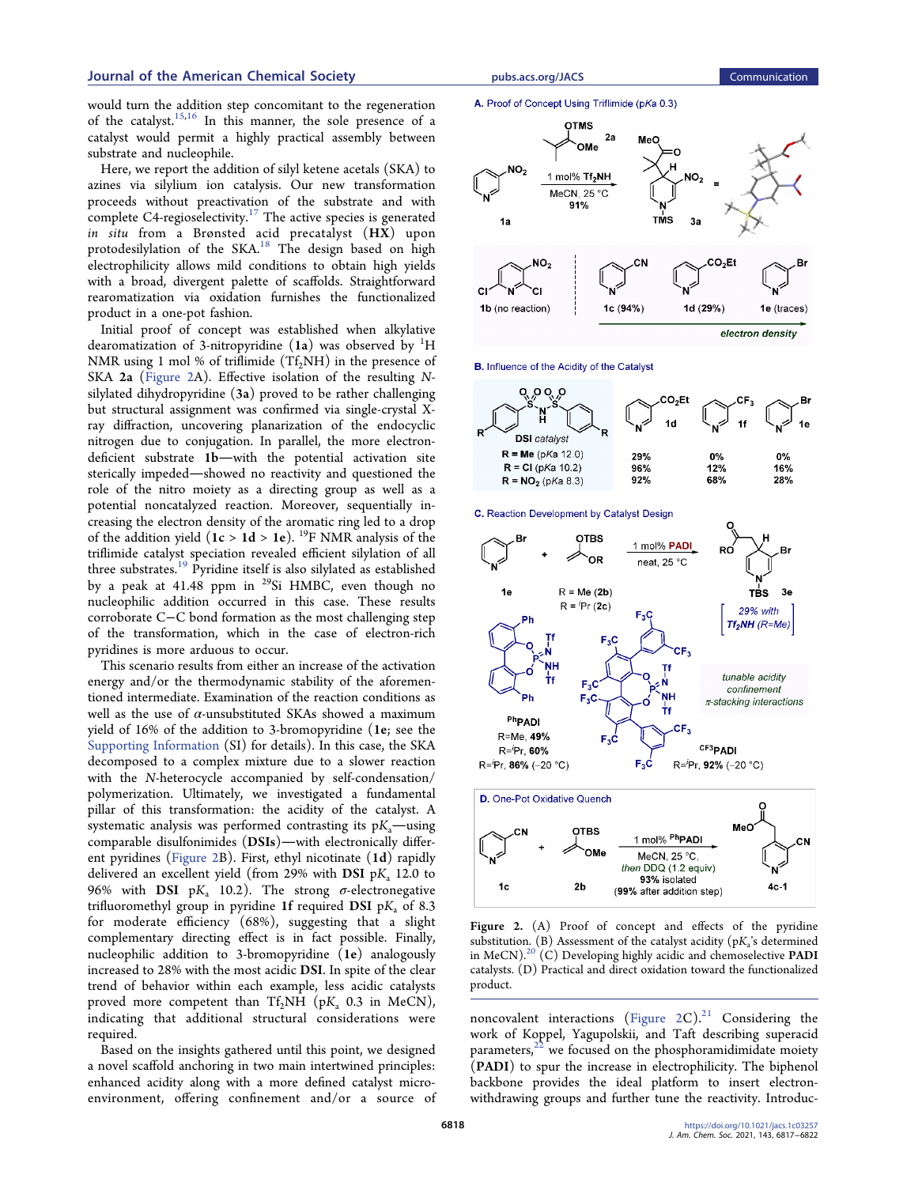<span id="page-1-0"></span>would turn the addition step concomitant to the regeneration of the catalyst.<sup>15,[16](#page-5-0)</sup> In this manner, the sole presence of a catalyst would permit a highly practical assembly between substrate and nucleophile.

Here, we report the addition of silyl ketene acetals (SKA) to azines via silylium ion catalysis. Our new transformation proceeds without preactivation of the substrate and with complete C4-regioselectivity.<sup>[17](#page-5-0)</sup> The active species is generated in situ from a Brønsted acid precatalyst (HX) upon protodesilylation of the SKA.<sup>18</sup> The design based on high electrophilicity allows mild conditions to obtain high yields with a broad, divergent palette of scaffolds. Straightforward rearomatization via oxidation furnishes the functionalized product in a one-pot fashion.

Initial proof of concept was established when alkylative dearomatization of 3-nitropyridine  $(1a)$  was observed by  ${}^{1}\textrm{H}$ NMR using 1 mol % of triflimide  $(Tf_2NH)$  in the presence of SKA 2a (Figure 2A). Effective isolation of the resulting Nsilylated dihydropyridine (3a) proved to be rather challenging but structural assignment was confirmed via single-crystal Xray diffraction, uncovering planarization of the endocyclic nitrogen due to conjugation. In parallel, the more electrondeficient substrate 1b-with the potential activation site sterically impeded—showed no reactivity and questioned the role of the nitro moiety as a directing group as well as a potential noncatalyzed reaction. Moreover, sequentially increasing the electron density of the aromatic ring led to a drop of the addition yield ( $1c > 1d > 1e$ ). <sup>19</sup>F NMR analysis of the triflimide catalyst speciation revealed efficient silylation of all three substrates.<sup>19</sup> Pyridine itself is also silylated as established by a peak at 41.48 ppm in 29Si HMBC, even though no nucleophilic addition occurred in this case. These results corroborate C−C bond formation as the most challenging step of the transformation, which in the case of electron-rich pyridines is more arduous to occur.

This scenario results from either an increase of the activation energy and/or the thermodynamic stability of the aforementioned intermediate. Examination of the reaction conditions as well as the use of  $\alpha$ -unsubstituted SKAs showed a maximum yield of 16% of the addition to 3-bromopyridine (1e; see the [Supporting Information](http://pubs.acs.org/doi/suppl/10.1021/jacs.1c03257/suppl_file/ja1c03257_si_001.pdf) (SI) for details). In this case, the SKA decomposed to a complex mixture due to a slower reaction with the N-heterocycle accompanied by self-condensation/ polymerization. Ultimately, we investigated a fundamental pillar of this transformation: the acidity of the catalyst. A systematic analysis was performed contrasting its  $pK_a$ —using comparable disulfonimides  $(DSIs)$ -with electronically different pyridines (Figure 2B). First, ethyl nicotinate (1d) rapidly delivered an excellent yield (from 29% with DSI  $pK$ , 12.0 to 96% with DSI pK<sub>a</sub> 10.2). The strong  $\sigma$ -electronegative trifluoromethyl group in pyridine 1f required DSI  $pK_a$  of 8.3 for moderate efficiency (68%), suggesting that a slight complementary directing effect is in fact possible. Finally, nucleophilic addition to 3-bromopyridine (1e) analogously increased to 28% with the most acidic DSI. In spite of the clear trend of behavior within each example, less acidic catalysts proved more competent than Tf<sub>2</sub>NH ( $pK_a$  0.3 in MeCN), indicating that additional structural considerations were required.

Based on the insights gathered until this point, we designed a novel scaffold anchoring in two main intertwined principles: enhanced acidity along with a more defined catalyst microenvironment, offering confinement and/or a source of

# A. Proof of Concept Using Triflimide (pKa 0.3)



B. Influence of the Acidity of the Catalyst



C. Reaction Development by Catalyst Design



Figure 2. (A) Proof of concept and effects of the pyridine substitution. (B) Assessment of the catalyst acidity ( $pK_a$ 's determined in MeCN)[.20](#page-5-0) (C) Developing highly acidic and chemoselective PADI catalysts. (D) Practical and direct oxidation toward the functionalized product.

noncovalent interactions (Figure  $2C$ ).<sup>[21](#page-5-0)</sup> Considering the work of Koppel, Yagupolskii, and Taft describing superacid parameters, $22$  we focused on the phosphoramidimidate moiety (PADI) to spur the increase in electrophilicity. The biphenol backbone provides the ideal platform to insert electronwithdrawing groups and further tune the reactivity. Introduc-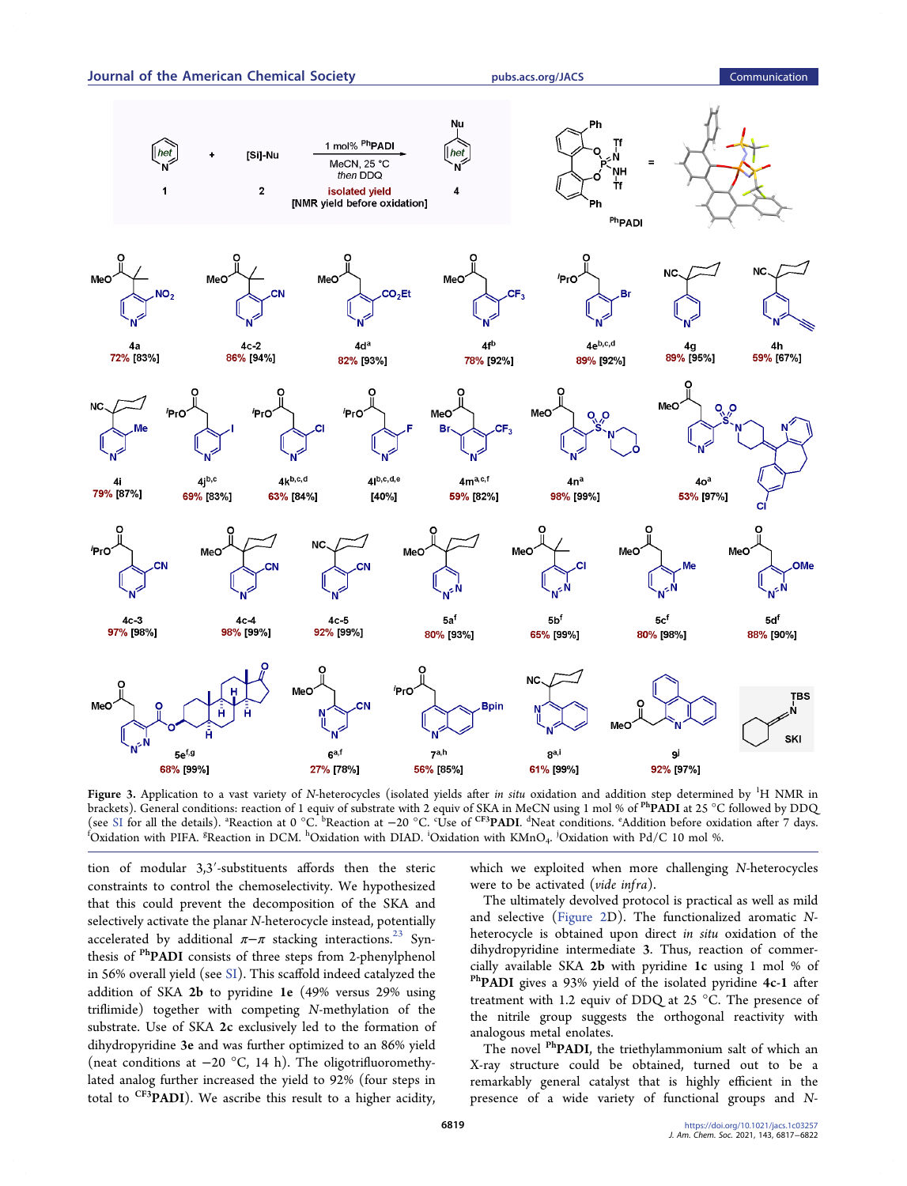

<span id="page-2-0"></span>Journal of the American Chemical Society **[pubs.acs.org/JACS](pubs.acs.org/JACS?ref=pdf)** Communication

Figure 3. Application to a vast variety of N-heterocycles (isolated yields after *in situ* oxidation and addition step determined by <sup>1</sup>H NMR in brackets). General conditions: reaction of 1 equiv of substrate with 2 equiv of SKA in MeCN using 1 mol % of PhPADI at 25 °C followed by DDQ (see [SI](http://pubs.acs.org/doi/suppl/10.1021/jacs.1c03257/suppl_file/ja1c03257_si_001.pdf) for all the details). <sup>a</sup>Reaction at 0 °C. <sup>b</sup>Reaction at −20 °C. °Use of <sup>CF3</sup>PADI. <sup>a</sup>Neat conditions. °Addition before oxidation after 7 days.<br><sup>f</sup>Oxidation with PIEA <sup>8</sup>Reaction in DCM <sup>h</sup>Oxidation with DIAD <sup>i</sup> Oxidation with PIFA. <sup>g</sup>Reaction in DCM.  $^{\text{h}}$ Oxidation with DIAD.  $^{\text{i}}$ Oxidation with KMnO<sub>4</sub>. <sup>j</sup>Oxidation with Pd/C 10 mol %.

tion of modular 3,3′-substituents affords then the steric constraints to control the chemoselectivity. We hypothesized that this could prevent the decomposition of the SKA and selectively activate the planar N-heterocycle instead, potentially accelerated by additional  $\pi-\pi$  stacking interactions.<sup>[23](#page-5-0)</sup> Synthesis of <sup>Ph</sup>PADI consists of three steps from 2-phenylphenol in 56% overall yield (see [SI\)](http://pubs.acs.org/doi/suppl/10.1021/jacs.1c03257/suppl_file/ja1c03257_si_001.pdf). This scaffold indeed catalyzed the addition of SKA 2b to pyridine 1e (49% versus 29% using triflimide) together with competing N-methylation of the substrate. Use of SKA 2c exclusively led to the formation of dihydropyridine 3e and was further optimized to an 86% yield (neat conditions at −20 °C, 14 h). The oligotrifluoromethylated analog further increased the yield to 92% (four steps in total to <sup>CF3</sup>PADI). We ascribe this result to a higher acidity,

which we exploited when more challenging N-heterocycles were to be activated (vide infra).

The ultimately devolved protocol is practical as well as mild and selective ([Figure 2D](#page-1-0)). The functionalized aromatic Nheterocycle is obtained upon direct in situ oxidation of the dihydropyridine intermediate 3. Thus, reaction of commer-<br>cially available SKA 2b with pyridine 1c using 1 mol % of <sup>Ph</sup>PADI gives a 93% yield of the isolated pyridine 4c-1 after treatment with 1.2 equiv of DDQ at 25 °C. The presence of the nitrile group suggests the orthogonal reactivity with analogous metal enolates.

The novel <sup>Ph</sup>PADI, the triethylammonium salt of which an X-ray structure could be obtained, turned out to be a remarkably general catalyst that is highly efficient in the presence of a wide variety of functional groups and N-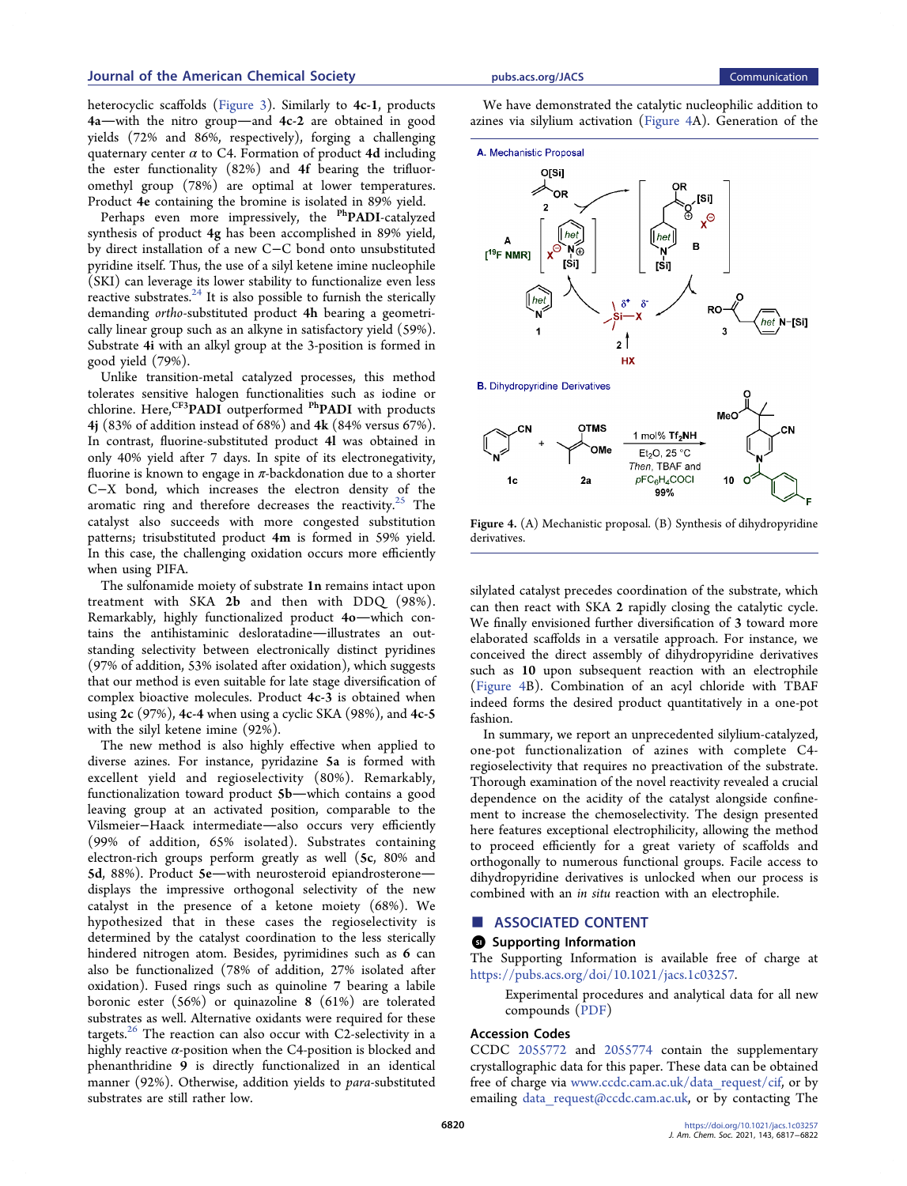# Journal of the American Chemical Society **[pubs.acs.org/JACS](pubs.acs.org/JACS?ref=pdf)** Communication

heterocyclic scaffolds ([Figure 3](#page-2-0)). Similarly to 4c-1, products  $4a$ -with the nitro group-and  $4c-2$  are obtained in good yields (72% and 86%, respectively), forging a challenging quaternary center  $\alpha$  to C4. Formation of product 4d including the ester functionality (82%) and 4f bearing the trifluoromethyl group (78%) are optimal at lower temperatures. Product 4e containing the bromine is isolated in 89% yield.

Perhaps even more impressively, the <sup>Ph</sup>PADI-catalyzed synthesis of product 4g has been accomplished in 89% yield, by direct installation of a new C−C bond onto unsubstituted pyridine itself. Thus, the use of a silyl ketene imine nucleophile (SKI) can leverage its lower stability to functionalize even less reactive substrates. $24$  It is also possible to furnish the sterically demanding ortho-substituted product 4h bearing a geometrically linear group such as an alkyne in satisfactory yield (59%). Substrate 4i with an alkyl group at the 3-position is formed in good yield (79%).

Unlike transition-metal catalyzed processes, this method tolerates sensitive halogen functionalities such as iodine or chlorine. Here,<sup>CF3</sup>PADI outperformed <sup>Ph</sup>PADI with products 4j (83% of addition instead of 68%) and 4k (84% versus 67%). In contrast, fluorine-substituted product 4l was obtained in only 40% yield after 7 days. In spite of its electronegativity, fluorine is known to engage in  $\pi$ -backdonation due to a shorter C−X bond, which increases the electron density of the aromatic ring and therefore decreases the reactivity.<sup>[25](#page-5-0)</sup> The catalyst also succeeds with more congested substitution patterns; trisubstituted product 4m is formed in 59% yield. In this case, the challenging oxidation occurs more efficiently when using PIFA.

The sulfonamide moiety of substrate 1n remains intact upon treatment with SKA 2b and then with DDQ (98%). Remarkably, highly functionalized product 4o-which contains the antihistaminic desloratadine-illustrates an outstanding selectivity between electronically distinct pyridines (97% of addition, 53% isolated after oxidation), which suggests that our method is even suitable for late stage diversification of complex bioactive molecules. Product 4c-3 is obtained when using 2c (97%), 4c-4 when using a cyclic SKA (98%), and 4c-5 with the silyl ketene imine (92%).

The new method is also highly effective when applied to diverse azines. For instance, pyridazine 5a is formed with excellent yield and regioselectivity (80%). Remarkably, functionalization toward product 5b-which contains a good leaving group at an activated position, comparable to the Vilsmeier-Haack intermediate-also occurs very efficiently (99% of addition, 65% isolated). Substrates containing electron-rich groups perform greatly as well (5c, 80% and 5d, 88%). Product 5e-with neurosteroid epiandrosteronedisplays the impressive orthogonal selectivity of the new catalyst in the presence of a ketone moiety (68%). We hypothesized that in these cases the regioselectivity is determined by the catalyst coordination to the less sterically hindered nitrogen atom. Besides, pyrimidines such as 6 can also be functionalized (78% of addition, 27% isolated after oxidation). Fused rings such as quinoline 7 bearing a labile boronic ester (56%) or quinazoline 8 (61%) are tolerated substrates as well. Alternative oxidants were required for these targets. $26$  The reaction can also occur with C2-selectivity in a highly reactive  $\alpha$ -position when the C4-position is blocked and phenanthridine 9 is directly functionalized in an identical manner (92%). Otherwise, addition yields to para-substituted substrates are still rather low.

We have demonstrated the catalytic nucleophilic addition to azines via silylium activation (Figure 4A). Generation of the



**B.** Dihydropyridine Derivatives



Figure 4. (A) Mechanistic proposal. (B) Synthesis of dihydropyridine derivatives.

silylated catalyst precedes coordination of the substrate, which can then react with SKA 2 rapidly closing the catalytic cycle. We finally envisioned further diversification of 3 toward more elaborated scaffolds in a versatile approach. For instance, we conceived the direct assembly of dihydropyridine derivatives such as 10 upon subsequent reaction with an electrophile (Figure 4B). Combination of an acyl chloride with TBAF indeed forms the desired product quantitatively in a one-pot fashion.

In summary, we report an unprecedented silylium-catalyzed, one-pot functionalization of azines with complete C4 regioselectivity that requires no preactivation of the substrate. Thorough examination of the novel reactivity revealed a crucial dependence on the acidity of the catalyst alongside confinement to increase the chemoselectivity. The design presented here features exceptional electrophilicity, allowing the method to proceed efficiently for a great variety of scaffolds and orthogonally to numerous functional groups. Facile access to dihydropyridine derivatives is unlocked when our process is combined with an in situ reaction with an electrophile.

# ■ ASSOCIATED CONTENT

# **9** Supporting Information

The Supporting Information is available free of charge at [https://pubs.acs.org/doi/10.1021/jacs.1c03257.](https://pubs.acs.org/doi/10.1021/jacs.1c03257?goto=supporting-info)

Experimental procedures and analytical data for all new compounds [\(PDF](http://pubs.acs.org/doi/suppl/10.1021/jacs.1c03257/suppl_file/ja1c03257_si_001.pdf))

# Accession Codes

CCDC [2055772](https://summary.ccdc.cam.ac.uk/structure-summary?pid=ccdc:2055772&id=doi:10.1021/jacs.1c03257) and [2055774](https://summary.ccdc.cam.ac.uk/structure-summary?pid=ccdc:2055774&id=doi:10.1021/jacs.1c03257) contain the supplementary crystallographic data for this paper. These data can be obtained free of charge via [www.ccdc.cam.ac.uk/data\\_request/cif](http://www.ccdc.cam.ac.uk/data_request/cif), or by emailing data request@ccdc.cam.ac.uk, or by contacting The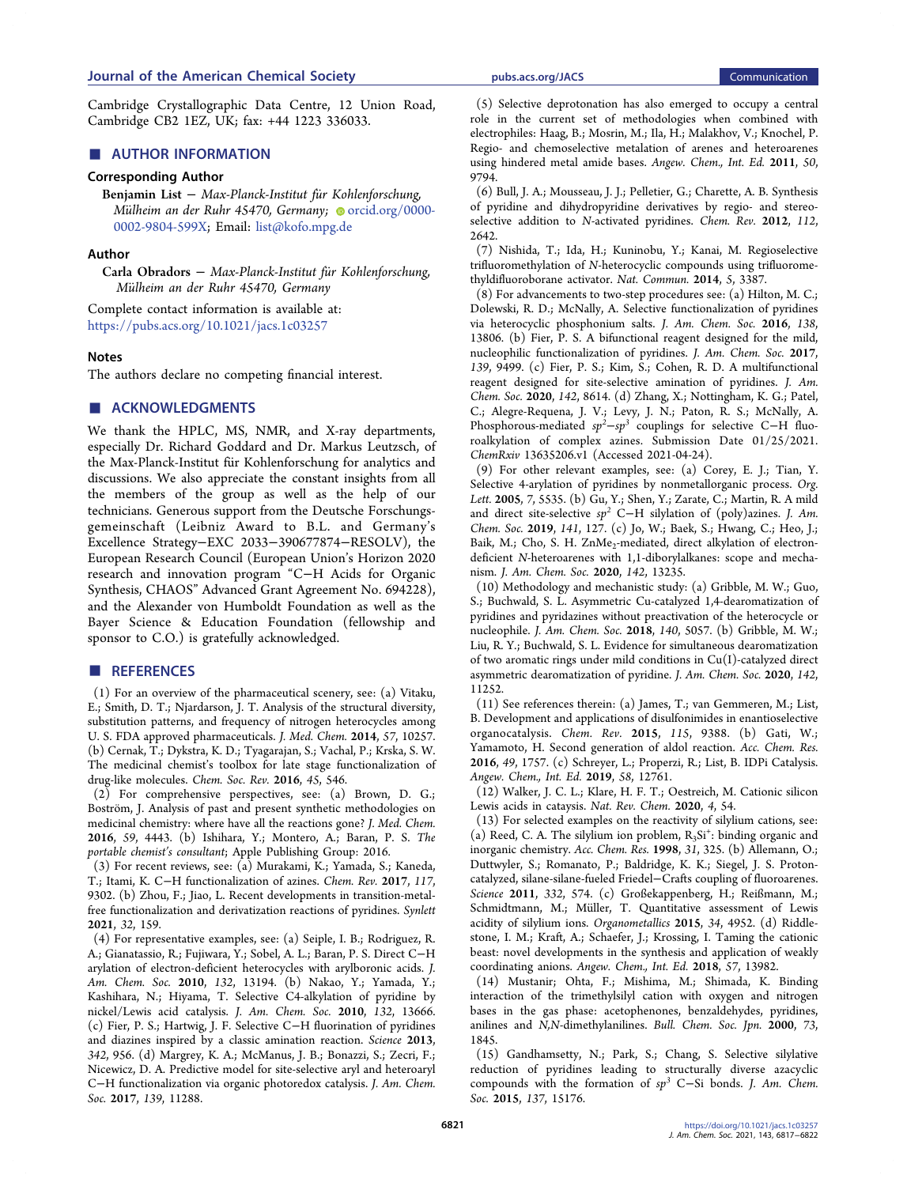<span id="page-4-0"></span>Cambridge Crystallographic Data Centre, 12 Union Road, Cambridge CB2 1EZ, UK; fax: +44 1223 336033.

# ■ AUTHOR INFORMATION

#### Corresponding Author

Benjamin List − Max-Planck-Institut für Kohlenforschung, Mülheim an der Ruhr 45470, Germany; [orcid.org/0000-](http://orcid.org/0000-0002-9804-599X) [0002-9804-599X;](http://orcid.org/0000-0002-9804-599X) Email: [list@kofo.mpg.de](mailto:list@kofo.mpg.de)

#### Author

Carla Obradors − Max-Planck-Institut für Kohlenforschung, Mülheim an der Ruhr 45470, Germany

Complete contact information is available at: [https://pubs.acs.org/10.1021/jacs.1c03257](https://pubs.acs.org/doi/10.1021/jacs.1c03257?ref=pdf)

#### **Notes**

The authors declare no competing financial interest.

# ■ ACKNOWLEDGMENTS

We thank the HPLC, MS, NMR, and X-ray departments, especially Dr. Richard Goddard and Dr. Markus Leutzsch, of the Max-Planck-Institut für Kohlenforschung for analytics and discussions. We also appreciate the constant insights from all the members of the group as well as the help of our technicians. Generous support from the Deutsche Forschungsgemeinschaft (Leibniz Award to B.L. and Germany's Excellence Strategy−EXC 2033−390677874−RESOLV), the European Research Council (European Union's Horizon 2020 research and innovation program "C−H Acids for Organic Synthesis, CHAOS" Advanced Grant Agreement No. 694228), and the Alexander von Humboldt Foundation as well as the Bayer Science & Education Foundation (fellowship and sponsor to C.O.) is gratefully acknowledged.

#### ■ REFERENCES

(1) For an overview of the pharmaceutical scenery, see: (a) Vitaku, E.; Smith, D. T.; Njardarson, J. T. [Analysis of the structural diversity,](https://doi.org/10.1021/jm501100b) [substitution patterns, and frequency of nitrogen heterocycles among](https://doi.org/10.1021/jm501100b) [U. S. FDA approved pharmaceuticals.](https://doi.org/10.1021/jm501100b) J. Med. Chem. 2014, 57, 10257. (b) Cernak, T.; Dykstra, K. D.; Tyagarajan, S.; Vachal, P.; Krska, S. W. The medicinal chemist'[s toolbox for late stage functionalization of](https://doi.org/10.1039/C5CS00628G) [drug-like molecules.](https://doi.org/10.1039/C5CS00628G) Chem. Soc. Rev. 2016, 45, 546.

(2) For comprehensive perspectives, see: (a) Brown, D. G.; Boström, J. [Analysis of past and present synthetic methodologies on](https://doi.org/10.1021/acs.jmedchem.5b01409) [medicinal chemistry: where have all the reactions gone?](https://doi.org/10.1021/acs.jmedchem.5b01409) J. Med. Chem. 2016, 59, 4443. (b) Ishihara, Y.; Montero, A.; Baran, P. S. The portable chemist's consultant; Apple Publishing Group: 2016.

(3) For recent reviews, see: (a) Murakami, K.; Yamada, S.; Kaneda, T.; Itami, K. C−[H functionalization of azines.](https://doi.org/10.1021/acs.chemrev.7b00021) Chem. Rev. 2017, 117, 9302. (b) Zhou, F.; Jiao, L[. Recent developments in transition-metal](https://doi.org/10.1055/s-0040-1706552)[free functionalization and derivatization reactions of pyridines.](https://doi.org/10.1055/s-0040-1706552) Synlett 2021, 32, 159.

(4) For representative examples, see: (a) Seiple, I. B.; Rodriguez, R. A.; Gianatassio, R.; Fujiwara, Y.; Sobel, A. L.; Baran, P. S. [Direct C](https://doi.org/10.1021/ja1066459)−H [arylation of electron-deficient heterocycles with arylboronic acids.](https://doi.org/10.1021/ja1066459) J. Am. Chem. Soc. 2010, 132, 13194. (b) Nakao, Y.; Yamada, Y.; Kashihara, N.; Hiyama, T[. Selective C4-alkylation of pyridine by](https://doi.org/10.1021/ja106514b) [nickel/Lewis acid catalysis.](https://doi.org/10.1021/ja106514b) J. Am. Chem. Soc. 2010, 132, 13666. (c) Fier, P. S.; Hartwig, J. F. Selective C−[H fluorination of pyridines](https://doi.org/10.1126/science.1243759) [and diazines inspired by a classic amination reaction.](https://doi.org/10.1126/science.1243759) Science 2013, 342, 956. (d) Margrey, K. A.; McManus, J. B.; Bonazzi, S.; Zecri, F.; Nicewicz, D. A[. Predictive model for site-selective aryl and heteroaryl](https://doi.org/10.1021/jacs.7b06715) C−[H functionalization via organic photoredox catalysis.](https://doi.org/10.1021/jacs.7b06715) J. Am. Chem. Soc. 2017, 139, 11288.

(5) Selective deprotonation has also emerged to occupy a central role in the current set of methodologies when combined with electrophiles: Haag, B.; Mosrin, M.; Ila, H.; Malakhov, V.; Knochel, P. [Regio- and chemoselective metalation of arenes and heteroarenes](https://doi.org/10.1002/anie.201101960) [using hindered metal amide bases.](https://doi.org/10.1002/anie.201101960) Angew. Chem., Int. Ed. 2011, 50, 9794.

(6) Bull, J. A.; Mousseau, J. J.; Pelletier, G.; Charette, A. B[. Synthesis](https://doi.org/10.1021/cr200251d) [of pyridine and dihydropyridine derivatives by regio- and stereo](https://doi.org/10.1021/cr200251d)[selective addition to](https://doi.org/10.1021/cr200251d) N-activated pyridines. Chem. Rev. 2012, 112, 2642.

(7) Nishida, T.; Ida, H.; Kuninobu, Y.; Kanai, M. [Regioselective](https://doi.org/10.1038/ncomms4387) trifluoromethylation of N[-heterocyclic compounds using trifluorome](https://doi.org/10.1038/ncomms4387)[thyldifluoroborane activator.](https://doi.org/10.1038/ncomms4387) Nat. Commun. 2014, 5, 3387.

(8) For advancements to two-step procedures see: (a) Hilton, M. C.; Dolewski, R. D.; McNally, A. [Selective functionalization of pyridines](https://doi.org/10.1021/jacs.6b08662) [via heterocyclic phosphonium salts.](https://doi.org/10.1021/jacs.6b08662) J. Am. Chem. Soc. 2016, 138, 13806. (b) Fier, P. S[. A bifunctional reagent designed for the mild,](https://doi.org/10.1021/jacs.7b05414) [nucleophilic functionalization of pyridines.](https://doi.org/10.1021/jacs.7b05414) J. Am. Chem. Soc. 2017, 139, 9499. (c) Fier, P. S.; Kim, S.; Cohen, R. D. [A multifunctional](https://doi.org/10.1021/jacs.0c03537) [reagent designed for site-selective amination of pyridines.](https://doi.org/10.1021/jacs.0c03537) J. Am. Chem. Soc. 2020, 142, 8614. (d) Zhang, X.; Nottingham, K. G.; Patel, C.; Alegre-Requena, J. V.; Levy, J. N.; Paton, R. S.; McNally, A. Phosphorous-mediated  $sp^2$ - $sp^3$  couplings for selective C−H fluoroalkylation of complex azines. Submission Date 01/25/2021. ChemRxiv 13635206.v1 (Accessed 2021-04-24).

(9) For other relevant examples, see: (a) Corey, E. J.; Tian, Y. [Selective 4-arylation of pyridines by nonmetallorganic process.](https://doi.org/10.1021/ol052476z) Org. Lett. 2005, 7, 5535. (b) Gu, Y.; Shen, Y.; Zarate, C.; Martin, R[. A mild](https://doi.org/10.1021/jacs.8b12063) and direct site-selective  $sp^2$  C−[H silylation of \(poly\)azines.](https://doi.org/10.1021/jacs.8b12063) J. Am. Chem. Soc. 2019, 141, 127. (c) Jo, W.; Baek, S.; Hwang, C.; Heo, J.; Baik, M.; Cho, S. H. [ZnMe2-mediated, direct alkylation of electron](https://doi.org/10.1021/jacs.0c06827)deficient N[-heteroarenes with 1,1-diborylalkanes: scope and mecha](https://doi.org/10.1021/jacs.0c06827)[nism.](https://doi.org/10.1021/jacs.0c06827) J. Am. Chem. Soc. 2020, 142, 13235.

(10) Methodology and mechanistic study: (a) Gribble, M. W.; Guo, S.; Buchwald, S. L[. Asymmetric Cu-catalyzed 1,4-dearomatization of](https://doi.org/10.1021/jacs.8b02568) [pyridines and pyridazines without preactivation of the heterocycle or](https://doi.org/10.1021/jacs.8b02568) [nucleophile.](https://doi.org/10.1021/jacs.8b02568) J. Am. Chem. Soc. 2018, 140, 5057. (b) Gribble, M. W.; Liu, R. Y.; Buchwald, S. L[. Evidence for simultaneous dearomatization](https://doi.org/10.1021/jacs.0c04486) [of two aromatic rings under mild conditions in Cu\(I\)-catalyzed direct](https://doi.org/10.1021/jacs.0c04486) [asymmetric dearomatization of pyridine.](https://doi.org/10.1021/jacs.0c04486) J. Am. Chem. Soc. 2020, 142, 11252.

(11) See references therein: (a) James, T.; van Gemmeren, M.; List, B[. Development and applications of disulfonimides in enantioselective](https://doi.org/10.1021/acs.chemrev.5b00128) [organocatalysis.](https://doi.org/10.1021/acs.chemrev.5b00128) Chem. Rev. 2015, 115, 9388. (b) Gati, W.; Yamamoto, H. [Second generation of aldol reaction.](https://doi.org/10.1021/acs.accounts.6b00243) Acc. Chem. Res. 2016, 49, 1757. (c) Schreyer, L.; Properzi, R.; List, B. [IDPi Catalysis.](https://doi.org/10.1002/anie.201900932) Angew. Chem., Int. Ed. 2019, 58, 12761.

(12) Walker, J. C. L.; Klare, H. F. T.; Oestreich, M[. Cationic silicon](https://doi.org/10.1038/s41570-019-0146-7) [Lewis acids in cataysis.](https://doi.org/10.1038/s41570-019-0146-7) Nat. Rev. Chem. 2020, 4, 54.

(13) For selected examples on the reactivity of silylium cations, see: (a) Reed, C. A. The silylium ion problem,  $R_3Si^+$ : binding organic and [inorganic chemistry.](https://doi.org/10.1021/ar960132q) Acc. Chem. Res. 1998, 31, 325. (b) Allemann, O.; Duttwyler, S.; Romanato, P.; Baldridge, K. K.; Siegel, J. S[. Proton](https://doi.org/10.1126/science.1202432)[catalyzed, silane-silane-fueled Friedel](https://doi.org/10.1126/science.1202432)−Crafts coupling of fluoroarenes. Science 2011, 332, 574. (c) Großekappenberg, H.; Reißmann, M.; Schmidtmann, M.; Müller, T[. Quantitative assessment of Lewis](https://doi.org/10.1021/acs.organomet.5b00556) [acidity of silylium ions.](https://doi.org/10.1021/acs.organomet.5b00556) Organometallics 2015, 34, 4952. (d) Riddlestone, I. M.; Kraft, A.; Schaefer, J.; Krossing, I[. Taming the cationic](https://doi.org/10.1002/anie.201710782) [beast: novel developments in the synthesis and application of weakly](https://doi.org/10.1002/anie.201710782) [coordinating anions.](https://doi.org/10.1002/anie.201710782) Angew. Chem., Int. Ed. 2018, 57, 13982.

(14) Mustanir; Ohta, F.; Mishima, M.; Shimada, K[. Binding](https://doi.org/10.1246/bcsj.73.1845) [interaction of the trimethylsilyl cation with oxygen and nitrogen](https://doi.org/10.1246/bcsj.73.1845) [bases in the gas phase: acetophenones, benzaldehydes, pyridines,](https://doi.org/10.1246/bcsj.73.1845) anilines and N,N[-dimethylanilines.](https://doi.org/10.1246/bcsj.73.1845) Bull. Chem. Soc. Jpn. 2000, 73, 1845.

(15) Gandhamsetty, N.; Park, S.; Chang, S. [Selective silylative](https://doi.org/10.1021/jacs.5b09209) [reduction of pyridines leading to structurally diverse azacyclic](https://doi.org/10.1021/jacs.5b09209) [compounds with the formation of](https://doi.org/10.1021/jacs.5b09209) sp<sup>3</sup> C−Si bonds. J. Am. Chem. Soc. 2015, 137, 15176.